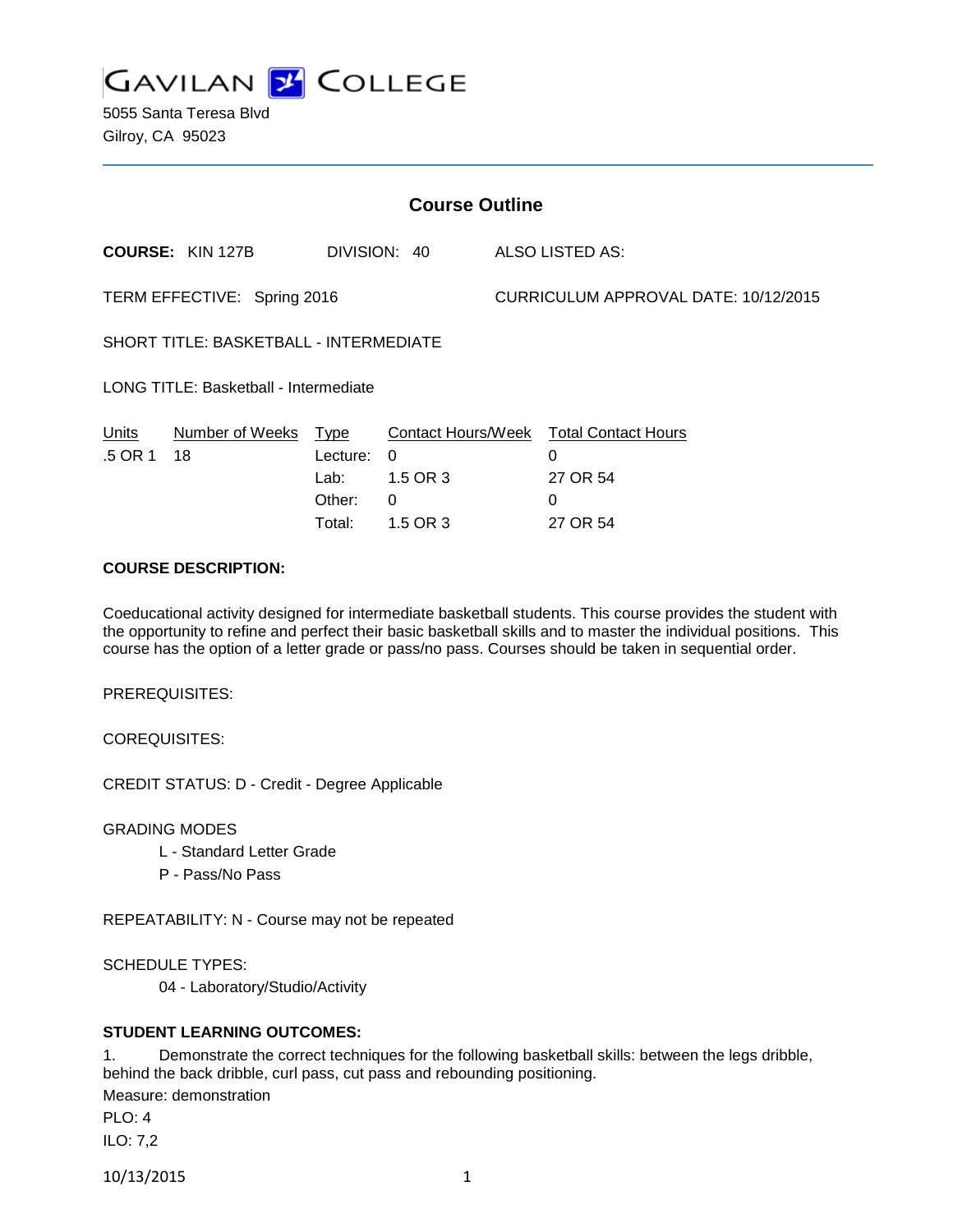

5055 Santa Teresa Blvd Gilroy, CA 95023

| <b>Course Outline</b>                         |                         |                                              |                                                                    |                                      |                                                                     |
|-----------------------------------------------|-------------------------|----------------------------------------------|--------------------------------------------------------------------|--------------------------------------|---------------------------------------------------------------------|
|                                               | <b>COURSE: KIN 127B</b> | DIVISION: 40                                 |                                                                    |                                      | ALSO LISTED AS:                                                     |
| TERM EFFECTIVE: Spring 2016                   |                         |                                              |                                                                    | CURRICULUM APPROVAL DATE: 10/12/2015 |                                                                     |
| <b>SHORT TITLE: BASKETBALL - INTERMEDIATE</b> |                         |                                              |                                                                    |                                      |                                                                     |
| <b>LONG TITLE: Basketball - Intermediate</b>  |                         |                                              |                                                                    |                                      |                                                                     |
| <b>Units</b><br>.5 OR 1                       | Number of Weeks<br>18   | Type<br>Lecture:<br>Lab:<br>Other:<br>Total: | <b>Contact Hours/Week</b><br>$\Omega$<br>1.5 OR 3<br>0<br>1.5 OR 3 |                                      | <b>Total Contact Hours</b><br>$\Omega$<br>27 OR 54<br>0<br>27 OR 54 |
| AAURAE BEAABIBTIAN                            |                         |                                              |                                                                    |                                      |                                                                     |

## **COURSE DESCRIPTION:**

Coeducational activity designed for intermediate basketball students. This course provides the student with the opportunity to refine and perfect their basic basketball skills and to master the individual positions. This course has the option of a letter grade or pass/no pass. Courses should be taken in sequential order.

PREREQUISITES:

COREQUISITES:

CREDIT STATUS: D - Credit - Degree Applicable

GRADING MODES

- L Standard Letter Grade
- P Pass/No Pass

REPEATABILITY: N - Course may not be repeated

SCHEDULE TYPES:

04 - Laboratory/Studio/Activity

# **STUDENT LEARNING OUTCOMES:**

1. Demonstrate the correct techniques for the following basketball skills: between the legs dribble, behind the back dribble, curl pass, cut pass and rebounding positioning.

Measure: demonstration

PLO: 4 ILO: 7,2

10/13/2015 1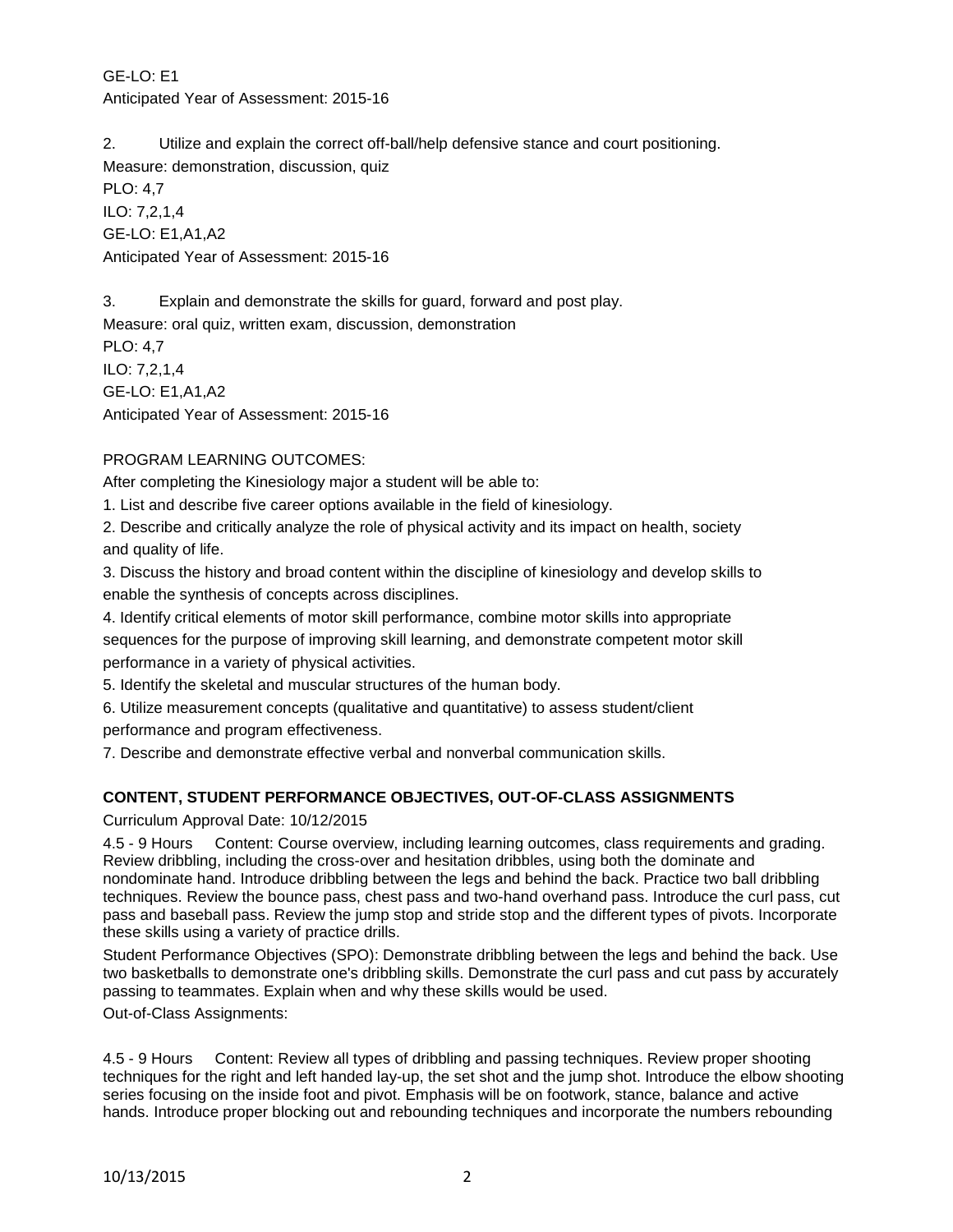GE-LO: E1 Anticipated Year of Assessment: 2015-16

2. Utilize and explain the correct off-ball/help defensive stance and court positioning. Measure: demonstration, discussion, quiz

PLO: 4,7 ILO: 7,2,1,4 GE-LO: E1,A1,A2 Anticipated Year of Assessment: 2015-16

3. Explain and demonstrate the skills for guard, forward and post play. Measure: oral quiz, written exam, discussion, demonstration PLO: 4,7 ILO: 7,2,1,4 GE-LO: E1,A1,A2 Anticipated Year of Assessment: 2015-16

# PROGRAM LEARNING OUTCOMES:

After completing the Kinesiology major a student will be able to:

1. List and describe five career options available in the field of kinesiology.

2. Describe and critically analyze the role of physical activity and its impact on health, society and quality of life.

3. Discuss the history and broad content within the discipline of kinesiology and develop skills to enable the synthesis of concepts across disciplines.

4. Identify critical elements of motor skill performance, combine motor skills into appropriate sequences for the purpose of improving skill learning, and demonstrate competent motor skill performance in a variety of physical activities.

5. Identify the skeletal and muscular structures of the human body.

6. Utilize measurement concepts (qualitative and quantitative) to assess student/client

performance and program effectiveness.

7. Describe and demonstrate effective verbal and nonverbal communication skills.

# **CONTENT, STUDENT PERFORMANCE OBJECTIVES, OUT-OF-CLASS ASSIGNMENTS**

# Curriculum Approval Date: 10/12/2015

4.5 - 9 Hours Content: Course overview, including learning outcomes, class requirements and grading. Review dribbling, including the cross-over and hesitation dribbles, using both the dominate and nondominate hand. Introduce dribbling between the legs and behind the back. Practice two ball dribbling techniques. Review the bounce pass, chest pass and two-hand overhand pass. Introduce the curl pass, cut pass and baseball pass. Review the jump stop and stride stop and the different types of pivots. Incorporate these skills using a variety of practice drills.

Student Performance Objectives (SPO): Demonstrate dribbling between the legs and behind the back. Use two basketballs to demonstrate one's dribbling skills. Demonstrate the curl pass and cut pass by accurately passing to teammates. Explain when and why these skills would be used.

Out-of-Class Assignments:

4.5 - 9 Hours Content: Review all types of dribbling and passing techniques. Review proper shooting techniques for the right and left handed lay-up, the set shot and the jump shot. Introduce the elbow shooting series focusing on the inside foot and pivot. Emphasis will be on footwork, stance, balance and active hands. Introduce proper blocking out and rebounding techniques and incorporate the numbers rebounding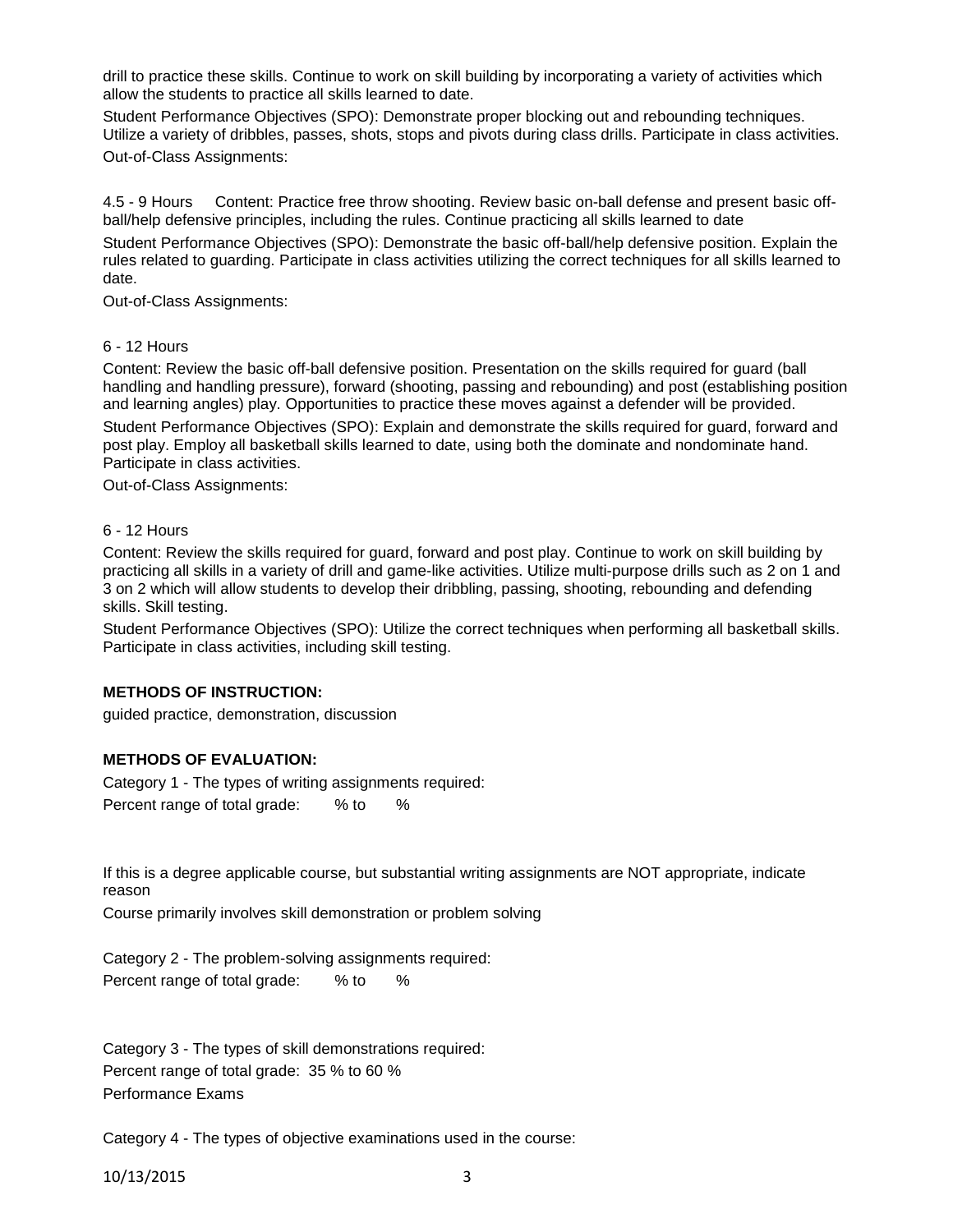drill to practice these skills. Continue to work on skill building by incorporating a variety of activities which allow the students to practice all skills learned to date.

Student Performance Objectives (SPO): Demonstrate proper blocking out and rebounding techniques. Utilize a variety of dribbles, passes, shots, stops and pivots during class drills. Participate in class activities. Out-of-Class Assignments:

4.5 - 9 Hours Content: Practice free throw shooting. Review basic on-ball defense and present basic offball/help defensive principles, including the rules. Continue practicing all skills learned to date

Student Performance Objectives (SPO): Demonstrate the basic off-ball/help defensive position. Explain the rules related to guarding. Participate in class activities utilizing the correct techniques for all skills learned to date.

Out-of-Class Assignments:

### 6 - 12 Hours

Content: Review the basic off-ball defensive position. Presentation on the skills required for guard (ball handling and handling pressure), forward (shooting, passing and rebounding) and post (establishing position and learning angles) play. Opportunities to practice these moves against a defender will be provided.

Student Performance Objectives (SPO): Explain and demonstrate the skills required for guard, forward and post play. Employ all basketball skills learned to date, using both the dominate and nondominate hand. Participate in class activities.

Out-of-Class Assignments:

#### 6 - 12 Hours

Content: Review the skills required for guard, forward and post play. Continue to work on skill building by practicing all skills in a variety of drill and game-like activities. Utilize multi-purpose drills such as 2 on 1 and 3 on 2 which will allow students to develop their dribbling, passing, shooting, rebounding and defending skills. Skill testing.

Student Performance Objectives (SPO): Utilize the correct techniques when performing all basketball skills. Participate in class activities, including skill testing.

### **METHODS OF INSTRUCTION:**

guided practice, demonstration, discussion

### **METHODS OF EVALUATION:**

Category 1 - The types of writing assignments required: Percent range of total grade: % to %

If this is a degree applicable course, but substantial writing assignments are NOT appropriate, indicate reason

Course primarily involves skill demonstration or problem solving

Category 2 - The problem-solving assignments required: Percent range of total grade: % to %

Category 3 - The types of skill demonstrations required: Percent range of total grade: 35 % to 60 % Performance Exams

Category 4 - The types of objective examinations used in the course:

10/13/2015 3